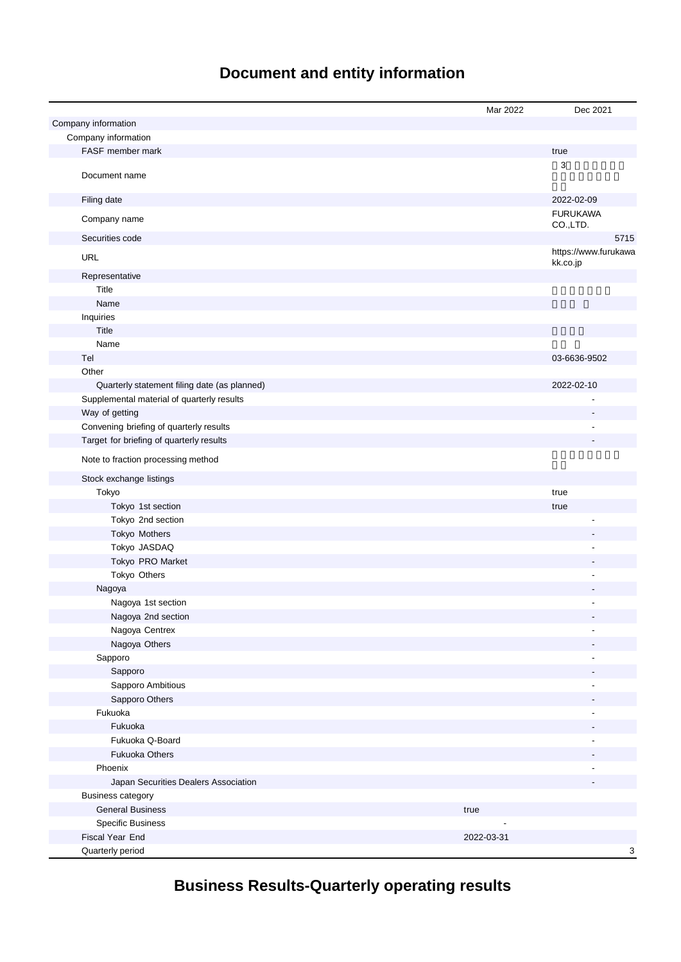# **Document and entity information**

|                                                     | Mar 2022   | Dec 2021                         |
|-----------------------------------------------------|------------|----------------------------------|
| Company information                                 |            |                                  |
| Company information                                 |            |                                  |
| FASF member mark                                    |            | true                             |
| Document name                                       |            | 3                                |
| Filing date                                         |            | 2022-02-09                       |
| Company name                                        |            | <b>FURUKAWA</b><br>CO.,LTD.      |
| Securities code                                     |            | 5715                             |
| URL                                                 |            | https://www.furukawa<br>kk.co.jp |
| Representative                                      |            |                                  |
| Title                                               |            |                                  |
| Name                                                |            |                                  |
| Inquiries                                           |            |                                  |
| Title                                               |            |                                  |
| Name                                                |            |                                  |
| Tel                                                 |            | 03-6636-9502                     |
| Other                                               |            |                                  |
| Quarterly statement filing date (as planned)        |            | 2022-02-10                       |
| Supplemental material of quarterly results          |            |                                  |
| Way of getting                                      |            |                                  |
| Convening briefing of quarterly results             |            |                                  |
| Target for briefing of quarterly results            |            |                                  |
| Note to fraction processing method                  |            |                                  |
| Stock exchange listings                             |            |                                  |
| Tokyo                                               |            | true                             |
| Tokyo 1st section                                   |            | true                             |
| Tokyo 2nd section                                   |            |                                  |
| Tokyo Mothers                                       |            |                                  |
| Tokyo JASDAQ                                        |            |                                  |
| Tokyo PRO Market                                    |            |                                  |
| Tokyo Others                                        |            |                                  |
| Nagoya                                              |            |                                  |
| Nagoya 1st section                                  |            |                                  |
| Nagoya 2nd section                                  |            |                                  |
| Nagoya Centrex                                      |            |                                  |
| Nagoya Others                                       |            |                                  |
| Sapporo                                             |            |                                  |
| Sapporo                                             |            |                                  |
| Sapporo Ambitious                                   |            |                                  |
| Sapporo Others                                      |            |                                  |
| Fukuoka                                             |            |                                  |
| Fukuoka                                             |            |                                  |
| Fukuoka Q-Board                                     |            |                                  |
| <b>Fukuoka Others</b>                               |            |                                  |
| Phoenix                                             |            |                                  |
| Japan Securities Dealers Association                |            |                                  |
| <b>Business category</b><br><b>General Business</b> |            |                                  |
| <b>Specific Business</b>                            | true       |                                  |
| Fiscal Year End                                     | 2022-03-31 |                                  |
| Quarterly period                                    |            | 3                                |
|                                                     |            |                                  |

# **Business Results-Quarterly operating results**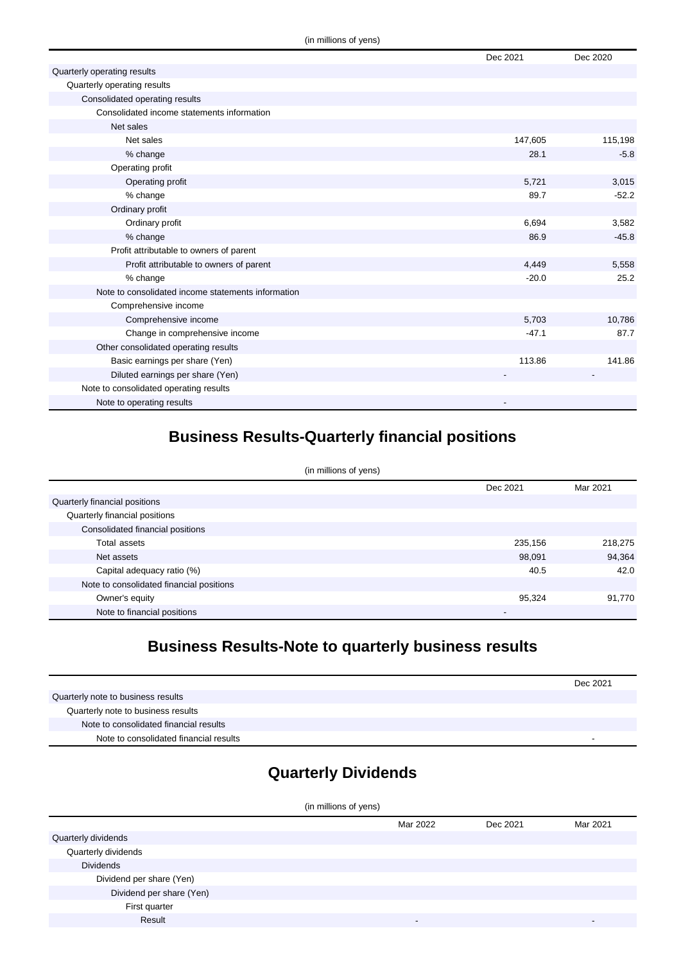|                                                    | Dec 2021 | Dec 2020 |
|----------------------------------------------------|----------|----------|
| Quarterly operating results                        |          |          |
| Quarterly operating results                        |          |          |
| Consolidated operating results                     |          |          |
| Consolidated income statements information         |          |          |
| Net sales                                          |          |          |
| Net sales                                          | 147,605  | 115,198  |
| % change                                           | 28.1     | $-5.8$   |
| Operating profit                                   |          |          |
| Operating profit                                   | 5,721    | 3,015    |
| % change                                           | 89.7     | $-52.2$  |
| Ordinary profit                                    |          |          |
| Ordinary profit                                    | 6,694    | 3,582    |
| % change                                           | 86.9     | $-45.8$  |
| Profit attributable to owners of parent            |          |          |
| Profit attributable to owners of parent            | 4,449    | 5,558    |
| % change                                           | $-20.0$  | 25.2     |
| Note to consolidated income statements information |          |          |
| Comprehensive income                               |          |          |
| Comprehensive income                               | 5,703    | 10,786   |
| Change in comprehensive income                     | $-47.1$  | 87.7     |
| Other consolidated operating results               |          |          |
| Basic earnings per share (Yen)                     | 113.86   | 141.86   |
| Diluted earnings per share (Yen)                   |          |          |
| Note to consolidated operating results             |          |          |
| Note to operating results                          |          |          |

## **Business Results-Quarterly financial positions**

| (in millions of yens)                    |          |          |  |
|------------------------------------------|----------|----------|--|
|                                          | Dec 2021 | Mar 2021 |  |
| Quarterly financial positions            |          |          |  |
| Quarterly financial positions            |          |          |  |
| Consolidated financial positions         |          |          |  |
| Total assets                             | 235,156  | 218,275  |  |
| Net assets                               | 98,091   | 94,364   |  |
| Capital adequacy ratio (%)               | 40.5     | 42.0     |  |
| Note to consolidated financial positions |          |          |  |
| Owner's equity                           | 95,324   | 91,770   |  |
| Note to financial positions              | -        |          |  |

## **Business Results-Note to quarterly business results**

|                                        | Dec 2021 |
|----------------------------------------|----------|
| Quarterly note to business results     |          |
| Quarterly note to business results     |          |
| Note to consolidated financial results |          |
| Note to consolidated financial results | -        |

## **Quarterly Dividends**

| (in millions of yens)    |                          |          |          |
|--------------------------|--------------------------|----------|----------|
|                          | Mar 2022                 | Dec 2021 | Mar 2021 |
| Quarterly dividends      |                          |          |          |
| Quarterly dividends      |                          |          |          |
| <b>Dividends</b>         |                          |          |          |
| Dividend per share (Yen) |                          |          |          |
| Dividend per share (Yen) |                          |          |          |
| First quarter            |                          |          |          |
| Result                   | $\overline{\phantom{a}}$ |          |          |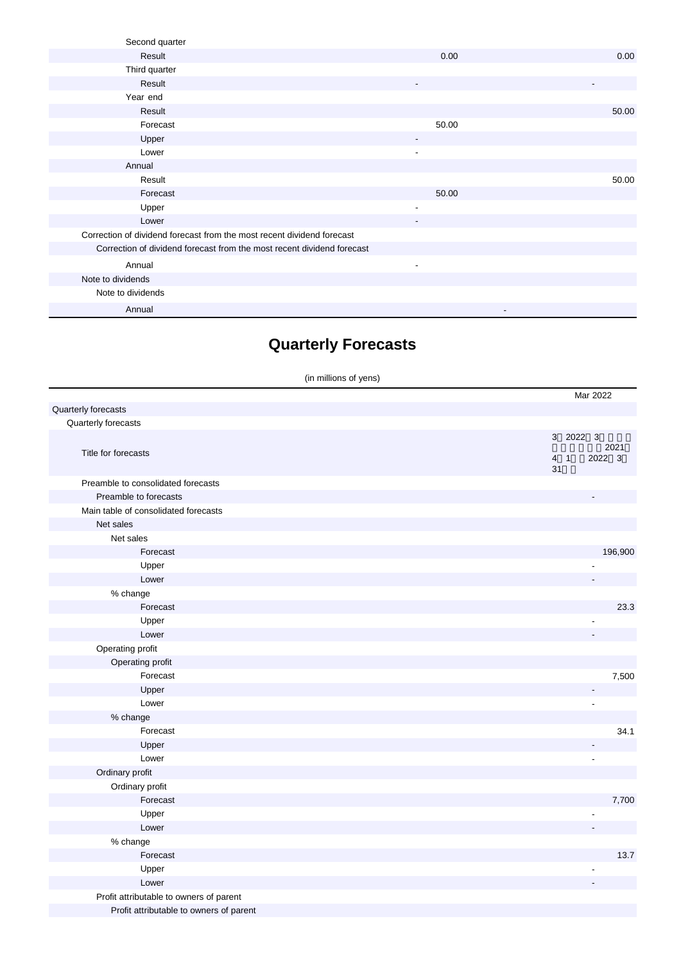| Second quarter                                                         |                          |       |
|------------------------------------------------------------------------|--------------------------|-------|
| Result                                                                 | 0.00                     | 0.00  |
| Third quarter                                                          |                          |       |
| Result                                                                 | $\overline{\phantom{a}}$ |       |
| Year end                                                               |                          |       |
| Result                                                                 |                          | 50.00 |
| Forecast                                                               | 50.00                    |       |
| Upper                                                                  |                          |       |
| Lower                                                                  |                          |       |
| Annual                                                                 |                          |       |
| Result                                                                 |                          | 50.00 |
| Forecast                                                               | 50.00                    |       |
| Upper                                                                  | $\overline{\phantom{0}}$ |       |
| Lower                                                                  | $\overline{\phantom{a}}$ |       |
| Correction of dividend forecast from the most recent dividend forecast |                          |       |
| Correction of dividend forecast from the most recent dividend forecast |                          |       |
| Annual                                                                 | $\overline{\phantom{a}}$ |       |
| Note to dividends                                                      |                          |       |
| Note to dividends                                                      |                          |       |
| Annual                                                                 | $\overline{\phantom{0}}$ |       |

## **Quarterly Forecasts**

(in millions of yens)

|                                         | Mar 2022                                        |
|-----------------------------------------|-------------------------------------------------|
| Quarterly forecasts                     |                                                 |
| Quarterly forecasts                     |                                                 |
| Title for forecasts                     | 3 2022 3<br>2021<br>2022 3<br>$4 \quad 1$<br>31 |
| Preamble to consolidated forecasts      |                                                 |
| Preamble to forecasts                   |                                                 |
| Main table of consolidated forecasts    |                                                 |
| Net sales                               |                                                 |
| Net sales                               |                                                 |
| Forecast                                | 196,900                                         |
| Upper                                   |                                                 |
| Lower                                   |                                                 |
| % change                                |                                                 |
| Forecast                                | 23.3                                            |
| Upper                                   |                                                 |
| Lower                                   |                                                 |
| Operating profit                        |                                                 |
| Operating profit                        |                                                 |
| Forecast                                | 7,500                                           |
| Upper                                   |                                                 |
| Lower                                   |                                                 |
| % change                                |                                                 |
| Forecast                                | 34.1                                            |
| Upper                                   |                                                 |
| Lower                                   | $\overline{a}$                                  |
| Ordinary profit                         |                                                 |
| Ordinary profit                         |                                                 |
| Forecast                                | 7,700                                           |
| Upper                                   |                                                 |
| Lower                                   |                                                 |
| % change                                |                                                 |
| Forecast                                | 13.7                                            |
| Upper                                   |                                                 |
| Lower                                   |                                                 |
| Profit attributable to owners of parent |                                                 |
| Profit attributable to owners of parent |                                                 |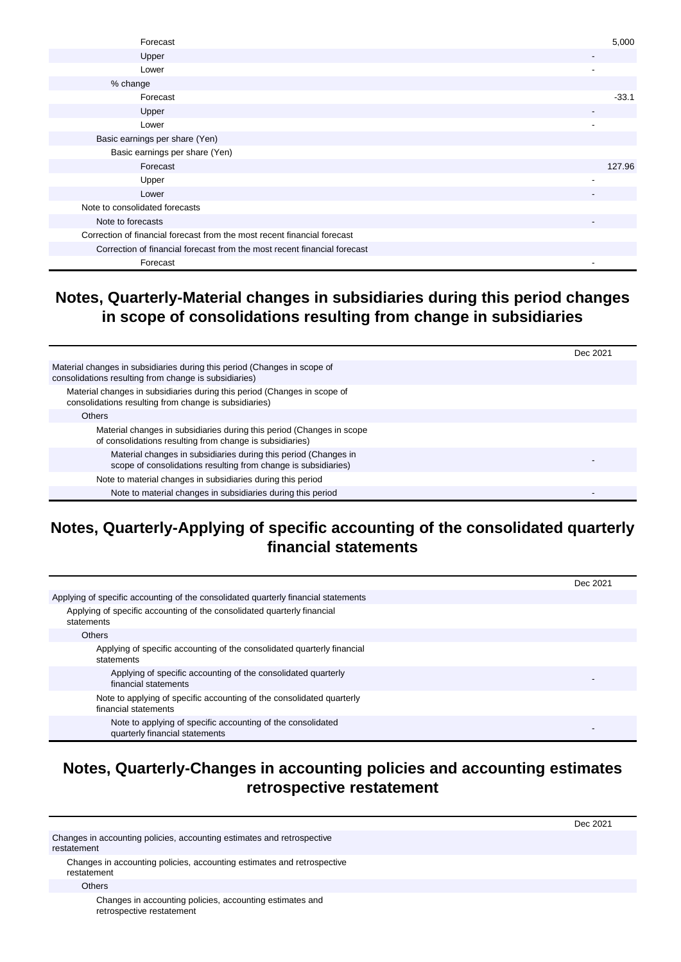| Forecast                                                                 | 5,000                    |
|--------------------------------------------------------------------------|--------------------------|
| Upper                                                                    | $\overline{\phantom{a}}$ |
| Lower                                                                    |                          |
| % change                                                                 |                          |
| Forecast                                                                 | $-33.1$                  |
| Upper                                                                    | $\overline{\phantom{a}}$ |
| Lower                                                                    | $\overline{\phantom{a}}$ |
| Basic earnings per share (Yen)                                           |                          |
| Basic earnings per share (Yen)                                           |                          |
| Forecast                                                                 | 127.96                   |
| Upper                                                                    |                          |
| Lower                                                                    | $\overline{\phantom{a}}$ |
| Note to consolidated forecasts                                           |                          |
| Note to forecasts                                                        | $\overline{\phantom{a}}$ |
| Correction of financial forecast from the most recent financial forecast |                          |
| Correction of financial forecast from the most recent financial forecast |                          |
| Forecast                                                                 |                          |

#### **Notes, Quarterly-Material changes in subsidiaries during this period changes in scope of consolidations resulting from change in subsidiaries**

|                                                                                                                                   | Dec 2021 |
|-----------------------------------------------------------------------------------------------------------------------------------|----------|
| Material changes in subsidiaries during this period (Changes in scope of<br>consolidations resulting from change is subsidiaries) |          |
| Material changes in subsidiaries during this period (Changes in scope of<br>consolidations resulting from change is subsidiaries) |          |
| <b>Others</b>                                                                                                                     |          |
| Material changes in subsidiaries during this period (Changes in scope<br>of consolidations resulting from change is subsidiaries) |          |
| Material changes in subsidiaries during this period (Changes in<br>scope of consolidations resulting from change is subsidiaries) |          |
| Note to material changes in subsidiaries during this period                                                                       |          |
| Note to material changes in subsidiaries during this period                                                                       |          |

### **Notes, Quarterly-Applying of specific accounting of the consolidated quarterly financial statements**

|                                                                                               | Dec 2021 |
|-----------------------------------------------------------------------------------------------|----------|
| Applying of specific accounting of the consolidated quarterly financial statements            |          |
| Applying of specific accounting of the consolidated quarterly financial<br>statements         |          |
| <b>Others</b>                                                                                 |          |
| Applying of specific accounting of the consolidated quarterly financial<br>statements         |          |
| Applying of specific accounting of the consolidated quarterly<br>financial statements         |          |
| Note to applying of specific accounting of the consolidated quarterly<br>financial statements |          |
| Note to applying of specific accounting of the consolidated<br>quarterly financial statements |          |

#### **Notes, Quarterly-Changes in accounting policies and accounting estimates retrospective restatement**

Dec 2021 Changes in accounting policies, accounting estimates and retrospective restatement Changes in accounting policies, accounting estimates and retrospective restatement **Others** Changes in accounting policies, accounting estimates and

retrospective restatement